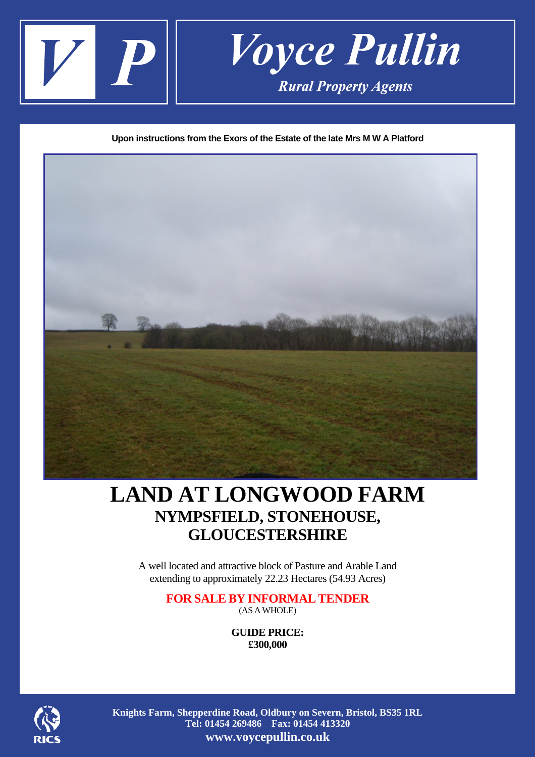

**Upon instructions from the Exors of the Estate of the late Mrs M W A Platford** 



# **LAND AT LONGWOOD FARM NYMPSFIELD, STONEHOUSE, GLOUCESTERSHIRE**

A well located and attractive block of Pasture and Arable Land extending to approximately 22.23 Hectares (54.93 Acres)

# **FOR SALEBY INFORMALTENDER**  (AS AWHOLE)

**GUIDE PRICE: £300,000** 



**Knights Farm, Shepperdine Road, Oldbury on Severn, Bristol, BS35 1RL Tel: 01454 269486 Fax: 01454 413320 www.voycepullin.co.uk**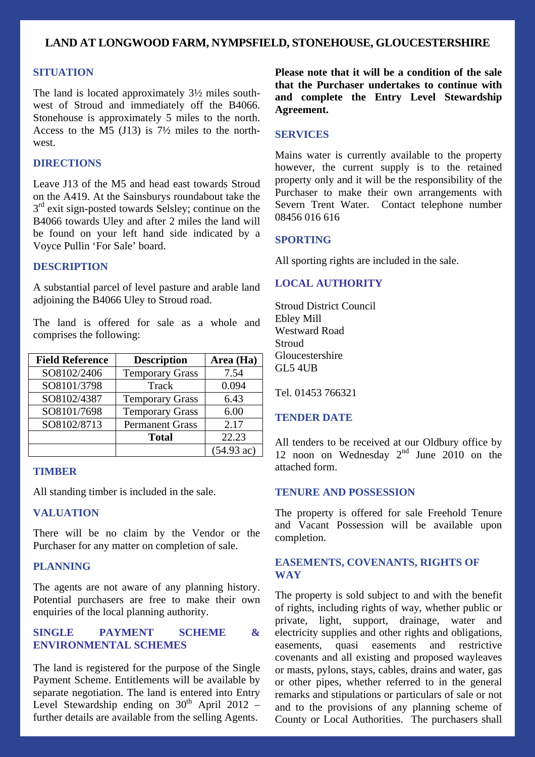# **LAND AT LONGWOOD FARM, NYMPSFIELD, STONEHOUSE, GLOUCESTERSHIRE**

#### **SITUATION**

The land is located approximately 3½ miles southwest of Stroud and immediately off the B4066. Stonehouse is approximately 5 miles to the north. Access to the M5 (J13) is 7½ miles to the northwest.

# **DIRECTIONS**

Leave J13 of the M5 and head east towards Stroud on the A419. At the Sainsburys roundabout take the  $3<sup>rd</sup>$  exit sign-posted towards Selsley; continue on the B4066 towards Uley and after 2 miles the land will be found on your left hand side indicated by a Voyce Pullin 'For Sale' board.

# **DESCRIPTION**

A substantial parcel of level pasture and arable land adjoining the B4066 Uley to Stroud road.

The land is offered for sale as a whole and comprises the following:

| <b>Field Reference</b> | <b>Description</b>     | Area (Ha)            |
|------------------------|------------------------|----------------------|
| SO8102/2406            | <b>Temporary Grass</b> | 7.54                 |
| SO8101/3798            | Track                  | 0.094                |
| SO8102/4387            | <b>Temporary Grass</b> | 6.43                 |
| SO8101/7698            | <b>Temporary Grass</b> | 6.00                 |
| SO8102/8713            | <b>Permanent Grass</b> | 2.17                 |
|                        | <b>Total</b>           | 22.23                |
|                        |                        | $(54.93 \text{ ac})$ |

#### **TIMBER**

All standing timber is included in the sale.

#### **VALUATION**

There will be no claim by the Vendor or the Purchaser for any matter on completion of sale.

# **PLANNING**

The agents are not aware of any planning history. Potential purchasers are free to make their own enquiries of the local planning authority.

### **SINGLE PAYMENT SCHEME & ENVIRONMENTAL SCHEMES**

The land is registered for the purpose of the Single Payment Scheme. Entitlements will be available by separate negotiation. The land is entered into Entry Level Stewardship ending on  $30<sup>th</sup>$  April 2012 – further details are available from the selling Agents.

**Please note that it will be a condition of the sale that the Purchaser undertakes to continue with and complete the Entry Level Stewardship Agreement.**

#### **SERVICES**

Mains water is currently available to the property however, the current supply is to the retained property only and it will be the responsibility of the Purchaser to make their own arrangements with Severn Trent Water. Contact telephone number 08456 016 616

#### **SPORTING**

All sporting rights are included in the sale.

# **LOCAL AUTHORITY**

Stroud District Council Ebley Mill Westward Road **Stroud** Gloucestershire GL5 4UB

Tel. 01453 766321

#### **TENDER DATE**

All tenders to be received at our Oldbury office by 12 noon on Wednesday  $2<sup>nd</sup>$  June 2010 on the attached form.

## **TENURE AND POSSESSION**

The property is offered for sale Freehold Tenure and Vacant Possession will be available upon completion.

# **EASEMENTS, COVENANTS, RIGHTS OF WAY**

The property is sold subject to and with the benefit of rights, including rights of way, whether public or private, light, support, drainage, water and electricity supplies and other rights and obligations, easements, quasi easements and restrictive covenants and all existing and proposed wayleaves or masts, pylons, stays, cables, drains and water, gas or other pipes, whether referred to in the general remarks and stipulations or particulars of sale or not and to the provisions of any planning scheme of County or Local Authorities. The purchasers shall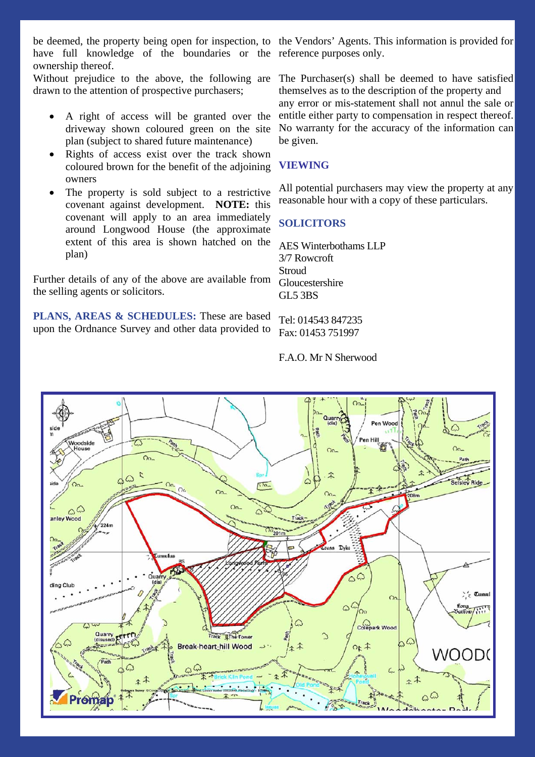be deemed, the property being open for inspection, to the Vendors' Agents. This information is provided for have full knowledge of the boundaries or the reference purposes only. ownership thereof.

Without prejudice to the above, the following are drawn to the attention of prospective purchasers;

- A right of access will be granted over the driveway shown coloured green on the site plan (subject to shared future maintenance)
- Rights of access exist over the track shown coloured brown for the benefit of the adjoining owners
- The property is sold subject to a restrictive covenant against development. **NOTE:** this covenant will apply to an area immediately around Longwood House (the approximate extent of this area is shown hatched on the plan)

Further details of any of the above are available from the selling agents or solicitors.

**PLANS, AREAS & SCHEDULES:** These are based upon the Ordnance Survey and other data provided to

The Purchaser(s) shall be deemed to have satisfied themselves as to the description of the property and any error or mis-statement shall not annul the sale or entitle either party to compensation in respect thereof. No warranty for the accuracy of the information can be given.

# **VIEWING**

All potential purchasers may view the property at any reasonable hour with a copy of these particulars.

# **SOLICITORS**

AES Winterbothams LLP 3/7 Rowcroft **Stroud** Gloucestershire GL5 3BS

Tel: 014543 847235 Fax: 01453 751997